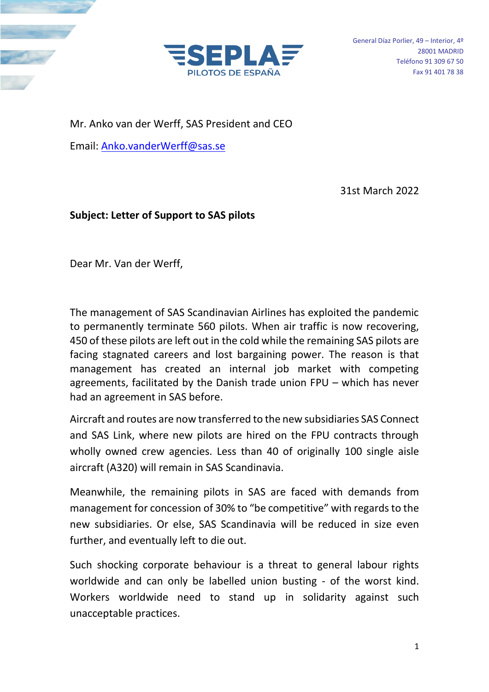

Mr. Anko van der Werff, SAS President and CEO

Email: [Anko.vanderWerff@sas.se](mailto:Anko.vanderWerff@sas.se)

31st March 2022

## **Subject: Letter of Support to SAS pilots**

Dear Mr. Van der Werff,

The management of SAS Scandinavian Airlines has exploited the pandemic to permanently terminate 560 pilots. When air traffic is now recovering, 450 of these pilots are left out in the cold while the remaining SAS pilots are facing stagnated careers and lost bargaining power. The reason is that management has created an internal job market with competing agreements, facilitated by the Danish trade union FPU – which has never had an agreement in SAS before.

Aircraft and routes are now transferred to the new subsidiaries SAS Connect and SAS Link, where new pilots are hired on the FPU contracts through wholly owned crew agencies. Less than 40 of originally 100 single aisle aircraft (A320) will remain in SAS Scandinavia.

Meanwhile, the remaining pilots in SAS are faced with demands from management for concession of 30% to "be competitive" with regards to the new subsidiaries. Or else, SAS Scandinavia will be reduced in size even further, and eventually left to die out.

Such shocking corporate behaviour is a threat to general labour rights worldwide and can only be labelled union busting - of the worst kind. Workers worldwide need to stand up in solidarity against such unacceptable practices.